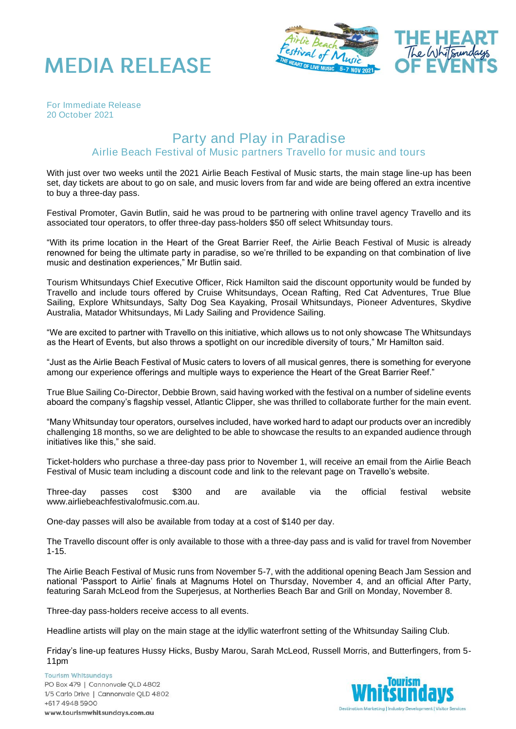



*For Immediate Release 20 October 2021*

## Party and Play in Paradise Airlie Beach Festival of Music partners Travello for music and tours

With just over two weeks until the 2021 Airlie Beach Festival of Music starts, the main stage line-up has been set, day tickets are about to go on sale, and music lovers from far and wide are being offered an extra incentive to buy a three-day pass.

Festival Promoter, Gavin Butlin, said he was proud to be partnering with online travel agency Travello and its associated tour operators, to offer three-day pass-holders \$50 off select Whitsunday tours.

"With its prime location in the Heart of the Great Barrier Reef, the Airlie Beach Festival of Music is already renowned for being the ultimate party in paradise, so we're thrilled to be expanding on that combination of live music and destination experiences," Mr Butlin said.

Tourism Whitsundays Chief Executive Officer, Rick Hamilton said the discount opportunity would be funded by Travello and include tours offered by Cruise Whitsundays, Ocean Rafting, Red Cat Adventures, True Blue Sailing, Explore Whitsundays, Salty Dog Sea Kayaking, Prosail Whitsundays, Pioneer Adventures, Skydive Australia, Matador Whitsundays, Mi Lady Sailing and Providence Sailing.

"We are excited to partner with Travello on this initiative, which allows us to not only showcase The Whitsundays as the Heart of Events, but also throws a spotlight on our incredible diversity of tours," Mr Hamilton said.

"Just as the Airlie Beach Festival of Music caters to lovers of all musical genres, there is something for everyone among our experience offerings and multiple ways to experience the Heart of the Great Barrier Reef."

True Blue Sailing Co-Director, Debbie Brown, said having worked with the festival on a number of sideline events aboard the company's flagship vessel, Atlantic Clipper, she was thrilled to collaborate further for the main event.

"Many Whitsunday tour operators, ourselves included, have worked hard to adapt our products over an incredibly challenging 18 months, so we are delighted to be able to showcase the results to an expanded audience through initiatives like this," she said.

Ticket-holders who purchase a three-day pass prior to November 1, will receive an email from the Airlie Beach Festival of Music team including a discount code and link to the relevant page on Travello's website.

Three-day passes cost \$300 and are available via the official festival website www.airliebeachfestivalofmusic.com.au.

One-day passes will also be available from today at a cost of \$140 per day.

The Travello discount offer is only available to those with a three-day pass and is valid for travel from November 1-15.

The Airlie Beach Festival of Music runs from November 5-7, with the additional opening Beach Jam Session and national 'Passport to Airlie' finals at Magnums Hotel on Thursday, November 4, and an official After Party, featuring Sarah McLeod from the Superjesus, at Northerlies Beach Bar and Grill on Monday, November 8.

Three-day pass-holders receive access to all events.

Headline artists will play on the main stage at the idyllic waterfront setting of the Whitsunday Sailing Club.

Friday's line-up features Hussy Hicks, Busby Marou, Sarah McLeod, Russell Morris, and Butterfingers, from 5- 11pm

**Tourism Whitsundays** PO Box 479 | Cannonvale QLD 4802 1/5 Carlo Drive | Cannonvale QLD 4802 +617 4948 5900 www.tourismwhitsundays.com.au